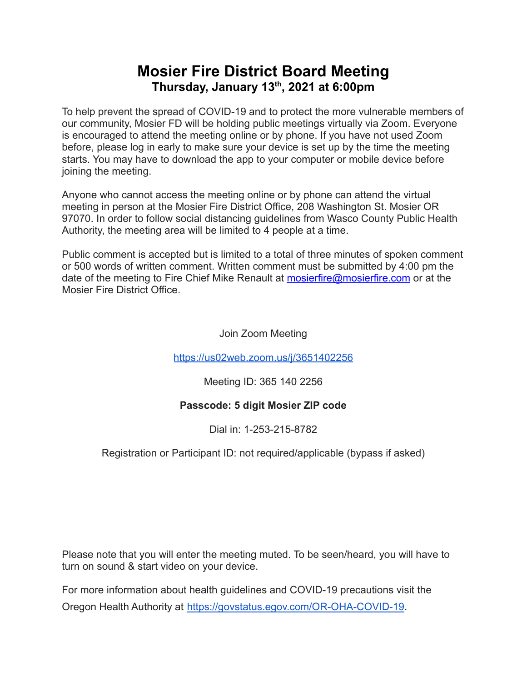## **Mosier Fire District Board Meeting Thursday, January 13 th , 2021 at 6:00pm**

To help prevent the spread of COVID-19 and to protect the more vulnerable members of our community, Mosier FD will be holding public meetings virtually via Zoom. Everyone is encouraged to attend the meeting online or by phone. If you have not used Zoom before, please log in early to make sure your device is set up by the time the meeting starts. You may have to download the app to your computer or mobile device before joining the meeting.

Anyone who cannot access the meeting online or by phone can attend the virtual meeting in person at the Mosier Fire District Office, 208 Washington St. Mosier OR 97070. In order to follow social distancing guidelines from Wasco County Public Health Authority, the meeting area will be limited to 4 people at a time.

Public comment is accepted but is limited to a total of three minutes of spoken comment or 500 words of written comment. Written comment must be submitted by 4:00 pm the date of the meeting to Fire Chief Mike Renault at [mosierfire@mosierfire.com](mailto:mosierfire@mosierfire.com) or at the Mosier Fire District Office.

Join Zoom Meeting

<https://us02web.zoom.us/j/3651402256>

Meeting ID: 365 140 2256

### **Passcode: 5 digit Mosier ZIP code**

Dial in: 1-253-215-8782

### Registration or Participant ID: not required/applicable (bypass if asked)

Please note that you will enter the meeting muted. To be seen/heard, you will have to turn on sound & start video on your device.

For more information about health guidelines and COVID-19 precautions visit the Oregon Health Authority at [https://govstatus.egov.com/OR-OHA-COVID-19.](https://govstatus.egov.com/OR-OHA-COVID-19)